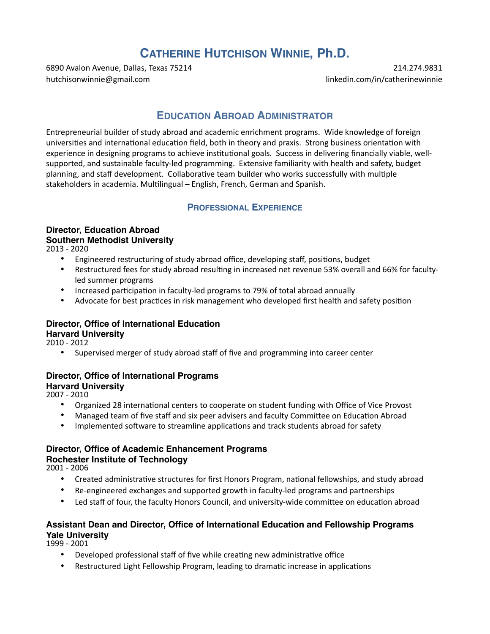# **CATHERINE HUTCHISON WINNIE, Ph.D.**

6890 Avalon Avenue, Dallas, Texas 75214 214.274.9831 [hutchisonwinnie@gmail.com](mailto:hutchisonwinnie@gmail.com) linkedin.com/in/catherinewinnie

## **EDUCATION ABROAD ADMINISTRATOR**

Entrepreneurial builder of study abroad and academic enrichment programs. Wide knowledge of foreign universities and international education field, both in theory and praxis. Strong business orientation with experience in designing programs to achieve institutional goals. Success in delivering financially viable, wellsupported, and sustainable faculty-led programming. Extensive familiarity with health and safety, budget planning, and staff development. Collaborative team builder who works successfully with multiple stakeholders in academia. Multilingual – English, French, German and Spanish.

## **PROFESSIONAL EXPERIENCE**

#### **Director, Education Abroad Southern Methodist University**

2013 - 2020

- Engineered restructuring of study abroad office, developing staff, positions, budget
- Restructured fees for study abroad resulting in increased net revenue 53% overall and 66% for facultyled summer programs
- Increased participation in faculty-led programs to 79% of total abroad annually
- Advocate for best practices in risk management who developed first health and safety position

## **Director, Office of International Education Harvard University**

2010 - 2012

• Supervised merger of study abroad staff of five and programming into career center

#### **Director, Office of International Programs Harvard University**

2007 - 2010

- Organized 28 international centers to cooperate on student funding with Office of Vice Provost
- Managed team of five staff and six peer advisers and faculty Committee on Education Abroad
- Implemented software to streamline applications and track students abroad for safety

#### **Director, Office of Academic Enhancement Programs**

#### **Rochester Institute of Technology**

2001 - 2006

- Created administrative structures for first Honors Program, national fellowships, and study abroad
- Re-engineered exchanges and supported growth in faculty-led programs and partnerships
- Led staff of four, the faculty Honors Council, and university-wide committee on education abroad

## **Assistant Dean and Director, Office of International Education and Fellowship Programs Yale University**

1999 - 2001

- Developed professional staff of five while creating new administrative office
- Restructured Light Fellowship Program, leading to dramatic increase in applications